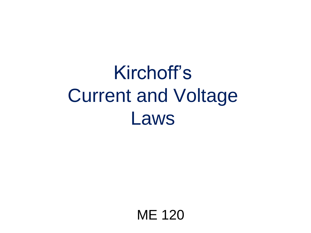# Kirchoff's Current and Voltage Laws

ME 120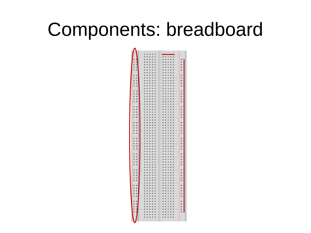## Components: breadboard

|                                                                | Ä<br>Ď<br>B                                                |                                                       |
|----------------------------------------------------------------|------------------------------------------------------------|-------------------------------------------------------|
|                                                                | "他的现在我的现在分词可以对现在的现在分词的现在分词的过去式和过去分词对对现在分词对对现在分词对对现在分词形式对对的 |                                                       |
| $-222$                                                         |                                                            |                                                       |
|                                                                |                                                            |                                                       |
|                                                                |                                                            |                                                       |
|                                                                |                                                            |                                                       |
|                                                                |                                                            |                                                       |
|                                                                |                                                            |                                                       |
|                                                                |                                                            |                                                       |
|                                                                |                                                            |                                                       |
|                                                                |                                                            |                                                       |
|                                                                |                                                            |                                                       |
|                                                                |                                                            |                                                       |
|                                                                |                                                            |                                                       |
|                                                                |                                                            |                                                       |
|                                                                |                                                            |                                                       |
|                                                                |                                                            |                                                       |
|                                                                |                                                            |                                                       |
|                                                                |                                                            |                                                       |
|                                                                |                                                            |                                                       |
|                                                                |                                                            |                                                       |
|                                                                |                                                            |                                                       |
|                                                                |                                                            |                                                       |
|                                                                |                                                            |                                                       |
|                                                                |                                                            |                                                       |
|                                                                |                                                            |                                                       |
|                                                                |                                                            |                                                       |
|                                                                |                                                            |                                                       |
|                                                                |                                                            |                                                       |
|                                                                |                                                            |                                                       |
|                                                                |                                                            |                                                       |
|                                                                |                                                            |                                                       |
|                                                                |                                                            |                                                       |
|                                                                |                                                            |                                                       |
|                                                                |                                                            |                                                       |
|                                                                |                                                            |                                                       |
|                                                                |                                                            |                                                       |
|                                                                |                                                            |                                                       |
|                                                                |                                                            |                                                       |
|                                                                |                                                            |                                                       |
|                                                                |                                                            |                                                       |
|                                                                |                                                            |                                                       |
|                                                                |                                                            |                                                       |
|                                                                |                                                            |                                                       |
|                                                                |                                                            |                                                       |
|                                                                |                                                            |                                                       |
|                                                                |                                                            |                                                       |
|                                                                |                                                            |                                                       |
|                                                                |                                                            |                                                       |
|                                                                |                                                            |                                                       |
|                                                                |                                                            |                                                       |
|                                                                |                                                            |                                                       |
|                                                                |                                                            | 化硫酸化硫 经现场收购 化热性吸收 经现场利润 经经济利用 化硫酸铵 化硫酸铵铵 医血管切除术 化硫酸铵医 |
|                                                                |                                                            |                                                       |
|                                                                |                                                            |                                                       |
| ,我的女儿的,我的女儿的,我的女儿的,我的女儿的,我的女儿的,我的女儿的,我的女儿的,我的女儿的,我的女儿的,我的女儿的人, |                                                            |                                                       |
|                                                                |                                                            |                                                       |
|                                                                |                                                            | .                                                     |
|                                                                |                                                            |                                                       |
|                                                                |                                                            |                                                       |
|                                                                |                                                            |                                                       |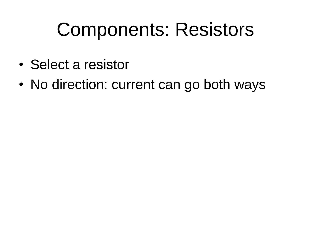# Components: Resistors

- Select a resistor
- No direction: current can go both ways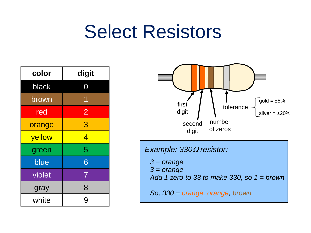## Select Resistors

| color  | digit          |
|--------|----------------|
| black  |                |
| brown  | 1              |
| red    | $\overline{2}$ |
| orange | 3              |
| yellow | 4              |
| green  | 5              |
| blue   | 6              |
| violet | 7              |
| gray   | 8              |
| white  | 9              |



*3 = orange*

*3 = orange*

*Add 1 zero to 33 to make 330, so 1 = brown*

*So, 330 = orange, orange, brown*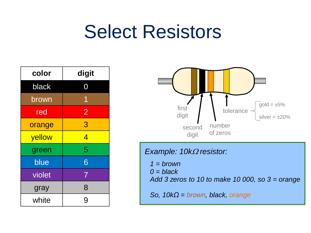## Select Resistors

| color  | digit                    |
|--------|--------------------------|
| black  |                          |
| brown  | 1                        |
| red    | $\overline{2}$           |
| orange | 3                        |
| yellow | $\overline{\mathcal{A}}$ |
| green  | 5                        |
| blue   | 6                        |
| violet | $\overline{7}$           |
| gray   | 8                        |
| white  | 9                        |



#### *Example: 10kΩ resistor:*

*1 = brown 0 = black Add 3 zeros to 10 to make 10 000, so 3 = orange So, 10kΩ = brown, black, orange*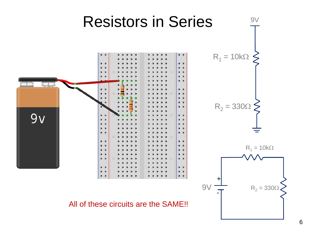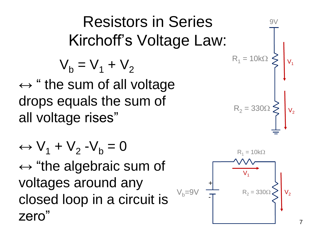7

Resistors in Ser  
\nKirchoff's Voltage  
\n
$$
V_b = V_1 + V_2
$$
  
\n $\leftrightarrow$  " the sum of all voltage drops equals the sum of all voltage rises"

 $\leftrightarrow$  V<sub>1</sub> + V<sub>2</sub> -V<sub>b</sub> = 0 ↔ "the algebraic sum of voltages around any closed loop in a circuit is zero"

#### ies Law:

$$
R_1 = 10k\Omega
$$
\n
$$
R_2 = 330\Omega
$$
\n
$$
V_1
$$
\n
$$
V_2
$$

 $9V$ 



 $R<sub>1</sub>$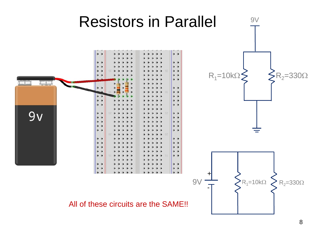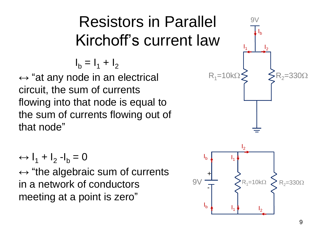#### Resistors in Parallel Kirchoff's current law

 $I_b = I_1 + I_2$ 

↔ "at any node in an electrical circuit, the sum of currents flowing into that node is equal to the sum of currents flowing out of that node"

$$
\leftrightarrow I_1 + I_2 - I_b = 0
$$

↔ "the algebraic sum of currents in a network of conductors meeting at a point is zero"